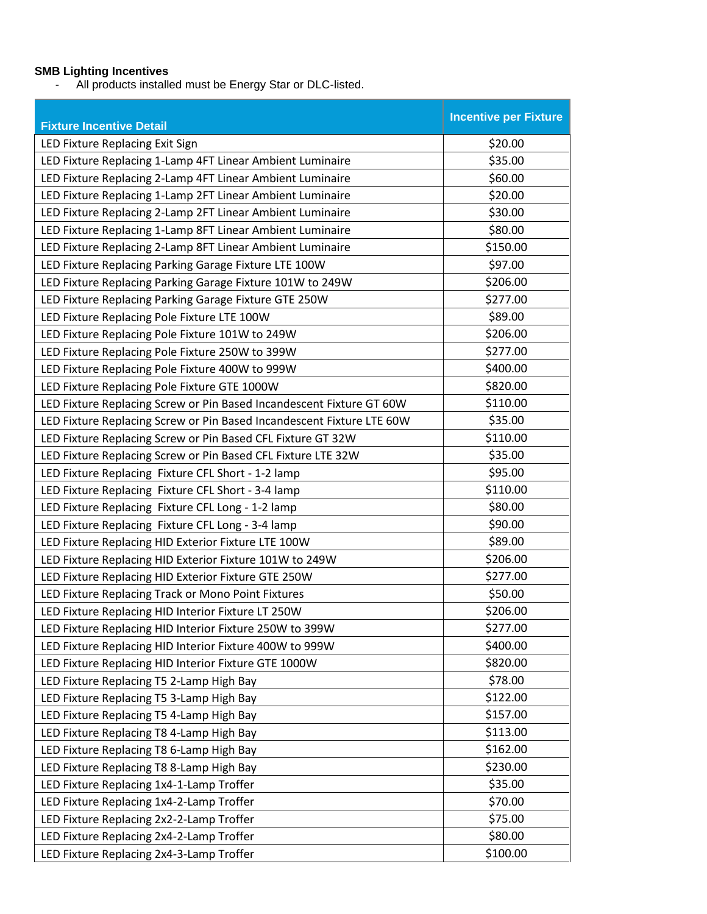## **SMB Lighting Incentives**

- All products installed must be Energy Star or DLC-listed.

| <b>Fixture Incentive Detail</b>                                       | <b>Incentive per Fixture</b> |
|-----------------------------------------------------------------------|------------------------------|
| LED Fixture Replacing Exit Sign                                       | \$20.00                      |
| LED Fixture Replacing 1-Lamp 4FT Linear Ambient Luminaire             | \$35.00                      |
| LED Fixture Replacing 2-Lamp 4FT Linear Ambient Luminaire             | \$60.00                      |
| LED Fixture Replacing 1-Lamp 2FT Linear Ambient Luminaire             | \$20.00                      |
| LED Fixture Replacing 2-Lamp 2FT Linear Ambient Luminaire             | \$30.00                      |
| LED Fixture Replacing 1-Lamp 8FT Linear Ambient Luminaire             | \$80.00                      |
| LED Fixture Replacing 2-Lamp 8FT Linear Ambient Luminaire             | \$150.00                     |
| LED Fixture Replacing Parking Garage Fixture LTE 100W                 | \$97.00                      |
| LED Fixture Replacing Parking Garage Fixture 101W to 249W             | \$206.00                     |
| LED Fixture Replacing Parking Garage Fixture GTE 250W                 | \$277.00                     |
| LED Fixture Replacing Pole Fixture LTE 100W                           | \$89.00                      |
| LED Fixture Replacing Pole Fixture 101W to 249W                       | \$206.00                     |
| LED Fixture Replacing Pole Fixture 250W to 399W                       | \$277.00                     |
| LED Fixture Replacing Pole Fixture 400W to 999W                       | \$400.00                     |
| LED Fixture Replacing Pole Fixture GTE 1000W                          | \$820.00                     |
| LED Fixture Replacing Screw or Pin Based Incandescent Fixture GT 60W  | \$110.00                     |
| LED Fixture Replacing Screw or Pin Based Incandescent Fixture LTE 60W | \$35.00                      |
| LED Fixture Replacing Screw or Pin Based CFL Fixture GT 32W           | \$110.00                     |
| LED Fixture Replacing Screw or Pin Based CFL Fixture LTE 32W          | \$35.00                      |
| LED Fixture Replacing Fixture CFL Short - 1-2 lamp                    | \$95.00                      |
| LED Fixture Replacing Fixture CFL Short - 3-4 lamp                    | \$110.00                     |
| LED Fixture Replacing Fixture CFL Long - 1-2 lamp                     | \$80.00                      |
| LED Fixture Replacing Fixture CFL Long - 3-4 lamp                     | \$90.00                      |
| LED Fixture Replacing HID Exterior Fixture LTE 100W                   | \$89.00                      |
| LED Fixture Replacing HID Exterior Fixture 101W to 249W               | \$206.00                     |
| LED Fixture Replacing HID Exterior Fixture GTE 250W                   | \$277.00                     |
| LED Fixture Replacing Track or Mono Point Fixtures                    | \$50.00                      |
| LED Fixture Replacing HID Interior Fixture LT 250W                    | \$206.00                     |
| LED Fixture Replacing HID Interior Fixture 250W to 399W               | \$277.00                     |
| LED Fixture Replacing HID Interior Fixture 400W to 999W               | \$400.00                     |
| LED Fixture Replacing HID Interior Fixture GTE 1000W                  | \$820.00                     |
| LED Fixture Replacing T5 2-Lamp High Bay                              | \$78.00                      |
| LED Fixture Replacing T5 3-Lamp High Bay                              | \$122.00                     |
| LED Fixture Replacing T5 4-Lamp High Bay                              | \$157.00                     |
| LED Fixture Replacing T8 4-Lamp High Bay                              | \$113.00                     |
| LED Fixture Replacing T8 6-Lamp High Bay                              | \$162.00                     |
| LED Fixture Replacing T8 8-Lamp High Bay                              | \$230.00                     |
| LED Fixture Replacing 1x4-1-Lamp Troffer                              | \$35.00                      |
| LED Fixture Replacing 1x4-2-Lamp Troffer                              | \$70.00                      |
| LED Fixture Replacing 2x2-2-Lamp Troffer                              | \$75.00                      |
| LED Fixture Replacing 2x4-2-Lamp Troffer                              | \$80.00                      |
| LED Fixture Replacing 2x4-3-Lamp Troffer                              | \$100.00                     |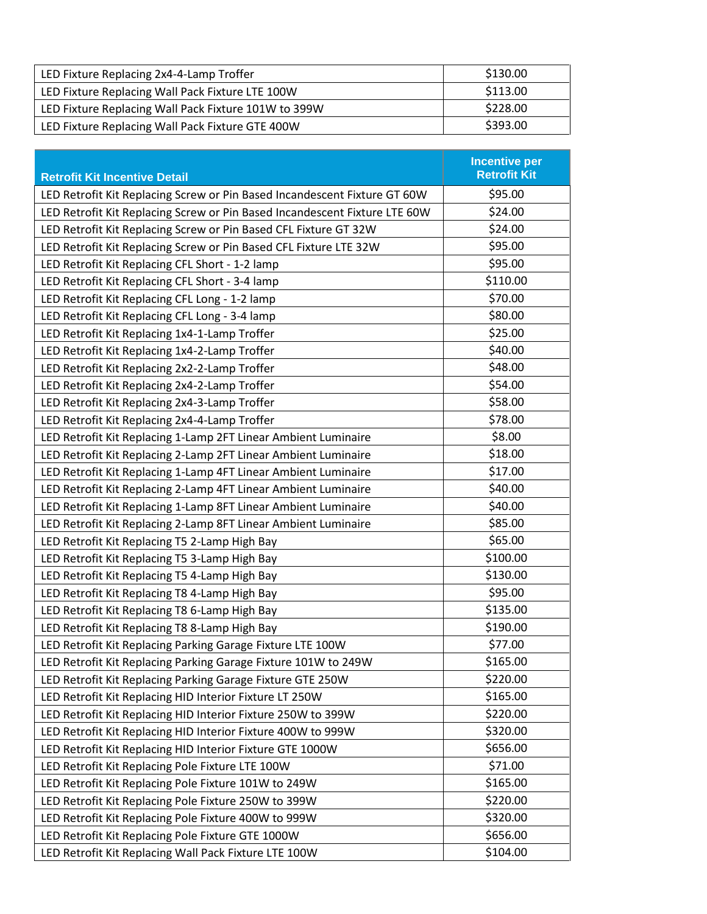| LED Fixture Replacing 2x4-4-Lamp Troffer             | \$130.00 |
|------------------------------------------------------|----------|
| LED Fixture Replacing Wall Pack Fixture LTE 100W     | \$113.00 |
| LED Fixture Replacing Wall Pack Fixture 101W to 399W | \$228.00 |
| LED Fixture Replacing Wall Pack Fixture GTE 400W     | \$393.00 |

| <b>Retrofit Kit Incentive Detail</b>                                       | <b>Incentive per</b><br><b>Retrofit Kit</b> |
|----------------------------------------------------------------------------|---------------------------------------------|
| LED Retrofit Kit Replacing Screw or Pin Based Incandescent Fixture GT 60W  | \$95.00                                     |
| LED Retrofit Kit Replacing Screw or Pin Based Incandescent Fixture LTE 60W | \$24.00                                     |
| LED Retrofit Kit Replacing Screw or Pin Based CFL Fixture GT 32W           | \$24.00                                     |
| LED Retrofit Kit Replacing Screw or Pin Based CFL Fixture LTE 32W          | \$95.00                                     |
| LED Retrofit Kit Replacing CFL Short - 1-2 lamp                            | \$95.00                                     |
| LED Retrofit Kit Replacing CFL Short - 3-4 lamp                            | \$110.00                                    |
| LED Retrofit Kit Replacing CFL Long - 1-2 lamp                             | \$70.00                                     |
| LED Retrofit Kit Replacing CFL Long - 3-4 lamp                             | \$80.00                                     |
| LED Retrofit Kit Replacing 1x4-1-Lamp Troffer                              | \$25.00                                     |
| LED Retrofit Kit Replacing 1x4-2-Lamp Troffer                              | \$40.00                                     |
| LED Retrofit Kit Replacing 2x2-2-Lamp Troffer                              | \$48.00                                     |
| LED Retrofit Kit Replacing 2x4-2-Lamp Troffer                              | \$54.00                                     |
| LED Retrofit Kit Replacing 2x4-3-Lamp Troffer                              | \$58.00                                     |
| LED Retrofit Kit Replacing 2x4-4-Lamp Troffer                              | \$78.00                                     |
| LED Retrofit Kit Replacing 1-Lamp 2FT Linear Ambient Luminaire             | \$8.00                                      |
| LED Retrofit Kit Replacing 2-Lamp 2FT Linear Ambient Luminaire             | \$18.00                                     |
| LED Retrofit Kit Replacing 1-Lamp 4FT Linear Ambient Luminaire             | \$17.00                                     |
| LED Retrofit Kit Replacing 2-Lamp 4FT Linear Ambient Luminaire             | \$40.00                                     |
| LED Retrofit Kit Replacing 1-Lamp 8FT Linear Ambient Luminaire             | \$40.00                                     |
| LED Retrofit Kit Replacing 2-Lamp 8FT Linear Ambient Luminaire             | \$85.00                                     |
| LED Retrofit Kit Replacing T5 2-Lamp High Bay                              | \$65.00                                     |
| LED Retrofit Kit Replacing T5 3-Lamp High Bay                              | \$100.00                                    |
| LED Retrofit Kit Replacing T5 4-Lamp High Bay                              | \$130.00                                    |
| LED Retrofit Kit Replacing T8 4-Lamp High Bay                              | \$95.00                                     |
| LED Retrofit Kit Replacing T8 6-Lamp High Bay                              | \$135.00                                    |
| LED Retrofit Kit Replacing T8 8-Lamp High Bay                              | \$190.00                                    |
| LED Retrofit Kit Replacing Parking Garage Fixture LTE 100W                 | \$77.00                                     |
| LED Retrofit Kit Replacing Parking Garage Fixture 101W to 249W             | \$165.00                                    |
| LED Retrofit Kit Replacing Parking Garage Fixture GTE 250W                 | \$220.00                                    |
| LED Retrofit Kit Replacing HID Interior Fixture LT 250W                    | \$165.00                                    |
| LED Retrofit Kit Replacing HID Interior Fixture 250W to 399W               | \$220.00                                    |
| LED Retrofit Kit Replacing HID Interior Fixture 400W to 999W               | \$320.00                                    |
| LED Retrofit Kit Replacing HID Interior Fixture GTE 1000W                  | \$656.00                                    |
| LED Retrofit Kit Replacing Pole Fixture LTE 100W                           | \$71.00                                     |
| LED Retrofit Kit Replacing Pole Fixture 101W to 249W                       | \$165.00                                    |
| LED Retrofit Kit Replacing Pole Fixture 250W to 399W                       | \$220.00                                    |
| LED Retrofit Kit Replacing Pole Fixture 400W to 999W                       | \$320.00                                    |
| LED Retrofit Kit Replacing Pole Fixture GTE 1000W                          | \$656.00                                    |
| LED Retrofit Kit Replacing Wall Pack Fixture LTE 100W                      | \$104.00                                    |